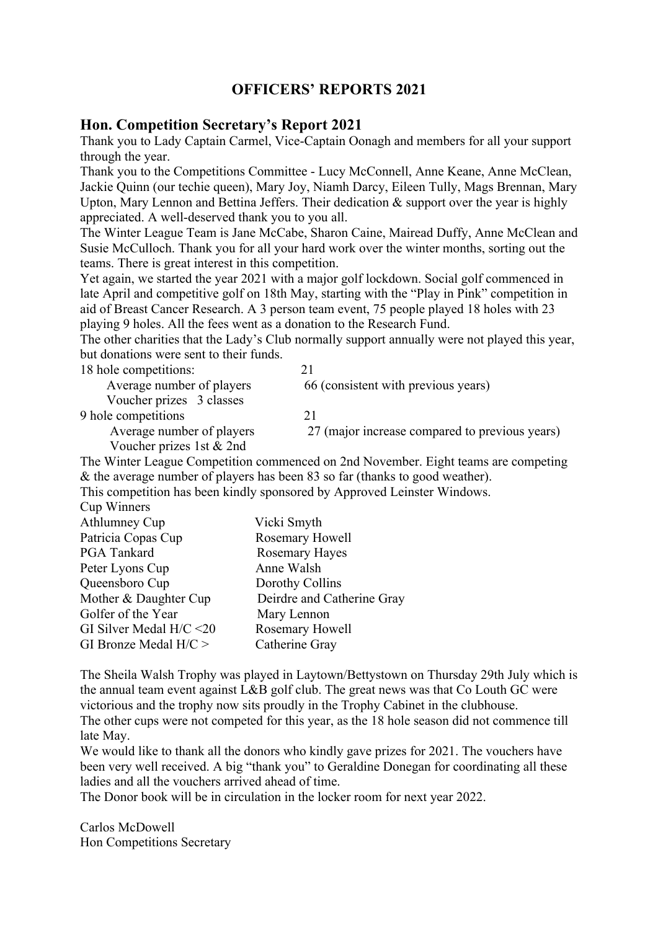## **OFFICERS' REPORTS 2021**

## **Hon. Competition Secretary's Report 2021**

Thank you to Lady Captain Carmel, Vice-Captain Oonagh and members for all your support through the year.

Thank you to the Competitions Committee - Lucy McConnell, Anne Keane, Anne McClean, Jackie Quinn (our techie queen), Mary Joy, Niamh Darcy, Eileen Tully, Mags Brennan, Mary Upton, Mary Lennon and Bettina Jeffers. Their dedication & support over the year is highly appreciated. A well-deserved thank you to you all.

The Winter League Team is Jane McCabe, Sharon Caine, Mairead Duffy, Anne McClean and Susie McCulloch. Thank you for all your hard work over the winter months, sorting out the teams. There is great interest in this competition.

Yet again, we started the year 2021 with a major golf lockdown. Social golf commenced in late April and competitive golf on 18th May, starting with the "Play in Pink" competition in aid of Breast Cancer Research. A 3 person team event, 75 people played 18 holes with 23 playing 9 holes. All the fees went as a donation to the Research Fund.

The other charities that the Lady's Club normally support annually were not played this year, but donations were sent to their funds.

| 18 hole competitions:          |                                                             |
|--------------------------------|-------------------------------------------------------------|
| Average number of players      | 66 (consistent with previous years)                         |
| Voucher prizes 3 classes       |                                                             |
| 9 hole competitions            |                                                             |
| Average number of players      | 27 (major increase compared to previous years)              |
| Voucher prizes 1st & 2nd       |                                                             |
| $\mathbf{v}$<br>T <sub>1</sub> | $1 \quad 2 \quad 1 \quad 1 \quad 1 \quad 1 \quad 1 \quad 1$ |

The Winter League Competition commenced on 2nd November. Eight teams are competing & the average number of players has been 83 so far (thanks to good weather).

This competition has been kindly sponsored by Approved Leinster Windows.

|  | Cup Winners |
|--|-------------|
|--|-------------|

| Athlumney Cup              | Vicki Smyth                |
|----------------------------|----------------------------|
| Patricia Copas Cup         | Rosemary Howell            |
| PGA Tankard                | <b>Rosemary Hayes</b>      |
| Peter Lyons Cup            | Anne Walsh                 |
| Queensboro Cup             | Dorothy Collins            |
| Mother & Daughter Cup      | Deirdre and Catherine Gray |
| Golfer of the Year         | Mary Lennon                |
| GI Silver Medal $H/C < 20$ | Rosemary Howell            |
| GI Bronze Medal $H/C$ >    | Catherine Gray             |
|                            |                            |

The Sheila Walsh Trophy was played in Laytown/Bettystown on Thursday 29th July which is the annual team event against L&B golf club. The great news was that Co Louth GC were victorious and the trophy now sits proudly in the Trophy Cabinet in the clubhouse.

The other cups were not competed for this year, as the 18 hole season did not commence till late May.

We would like to thank all the donors who kindly gave prizes for 2021. The vouchers have been very well received. A big "thank you" to Geraldine Donegan for coordinating all these ladies and all the vouchers arrived ahead of time.

The Donor book will be in circulation in the locker room for next year 2022.

Carlos McDowell Hon Competitions Secretary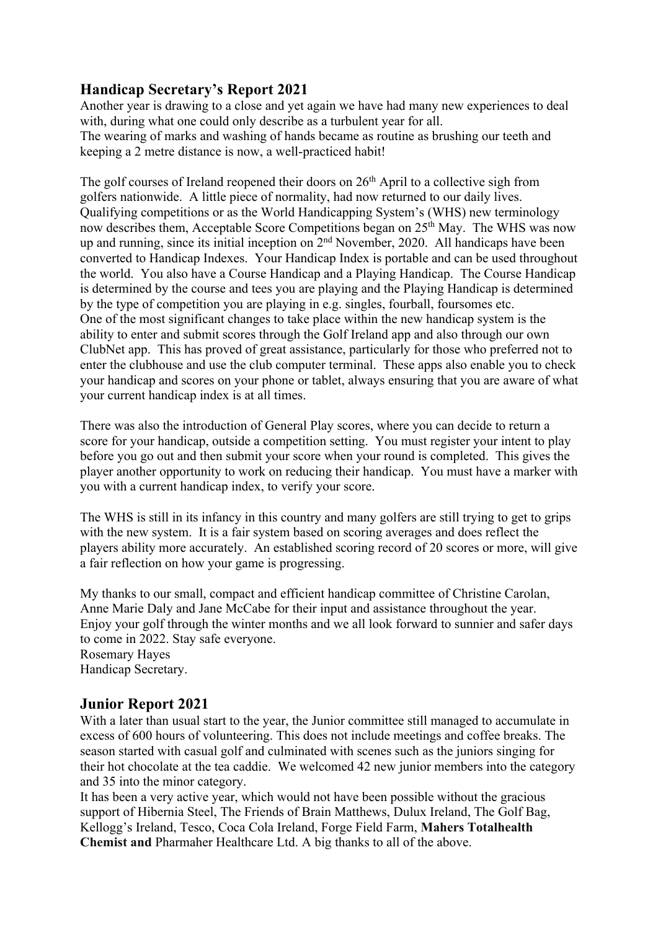## **Handicap Secretary's Report 2021**

Another year is drawing to a close and yet again we have had many new experiences to deal with, during what one could only describe as a turbulent year for all. The wearing of marks and washing of hands became as routine as brushing our teeth and keeping a 2 metre distance is now, a well-practiced habit!

The golf courses of Ireland reopened their doors on  $26<sup>th</sup>$  April to a collective sigh from golfers nationwide. A little piece of normality, had now returned to our daily lives. Qualifying competitions or as the World Handicapping System's (WHS) new terminology now describes them, Acceptable Score Competitions began on 25<sup>th</sup> May. The WHS was now up and running, since its initial inception on 2nd November, 2020. All handicaps have been converted to Handicap Indexes. Your Handicap Index is portable and can be used throughout the world. You also have a Course Handicap and a Playing Handicap. The Course Handicap is determined by the course and tees you are playing and the Playing Handicap is determined by the type of competition you are playing in e.g. singles, fourball, foursomes etc. One of the most significant changes to take place within the new handicap system is the ability to enter and submit scores through the Golf Ireland app and also through our own ClubNet app. This has proved of great assistance, particularly for those who preferred not to enter the clubhouse and use the club computer terminal. These apps also enable you to check your handicap and scores on your phone or tablet, always ensuring that you are aware of what your current handicap index is at all times.

There was also the introduction of General Play scores, where you can decide to return a score for your handicap, outside a competition setting. You must register your intent to play before you go out and then submit your score when your round is completed. This gives the player another opportunity to work on reducing their handicap. You must have a marker with you with a current handicap index, to verify your score.

The WHS is still in its infancy in this country and many golfers are still trying to get to grips with the new system. It is a fair system based on scoring averages and does reflect the players ability more accurately. An established scoring record of 20 scores or more, will give a fair reflection on how your game is progressing.

My thanks to our small, compact and efficient handicap committee of Christine Carolan, Anne Marie Daly and Jane McCabe for their input and assistance throughout the year. Enjoy your golf through the winter months and we all look forward to sunnier and safer days to come in 2022. Stay safe everyone. Rosemary Hayes

Handicap Secretary.

## **Junior Report 2021**

With a later than usual start to the year, the Junior committee still managed to accumulate in excess of 600 hours of volunteering. This does not include meetings and coffee breaks. The season started with casual golf and culminated with scenes such as the juniors singing for their hot chocolate at the tea caddie. We welcomed 42 new junior members into the category and 35 into the minor category.

It has been a very active year, which would not have been possible without the gracious support of Hibernia Steel, The Friends of Brain Matthews, Dulux Ireland, The Golf Bag, Kellogg's Ireland, Tesco, Coca Cola Ireland, Forge Field Farm, **Mahers Totalhealth Chemist and** Pharmaher Healthcare Ltd. A big thanks to all of the above.